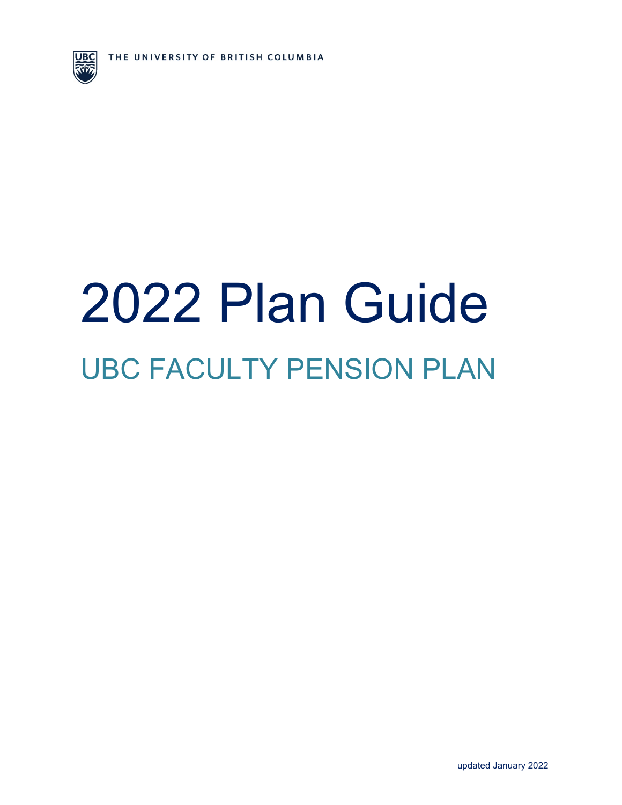

# 2022 Plan Guide  UBC FACULTY PENSION PLAN

updated January 2022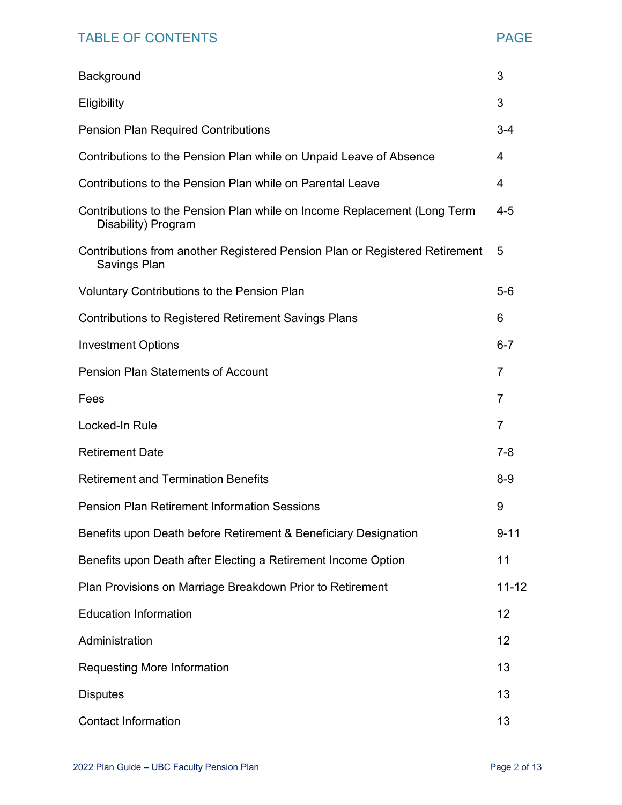# TABLE OF CONTENTS TABLE OF CONTENTS

| Background                                                                                      | 3         |
|-------------------------------------------------------------------------------------------------|-----------|
| Eligibility                                                                                     | 3         |
| <b>Pension Plan Required Contributions</b>                                                      | $3 - 4$   |
| Contributions to the Pension Plan while on Unpaid Leave of Absence                              | 4         |
| Contributions to the Pension Plan while on Parental Leave                                       | 4         |
| Contributions to the Pension Plan while on Income Replacement (Long Term<br>Disability) Program | $4 - 5$   |
| Contributions from another Registered Pension Plan or Registered Retirement<br>Savings Plan     | 5         |
| <b>Voluntary Contributions to the Pension Plan</b>                                              | $5-6$     |
| <b>Contributions to Registered Retirement Savings Plans</b>                                     | 6         |
| <b>Investment Options</b>                                                                       | $6 - 7$   |
| <b>Pension Plan Statements of Account</b>                                                       | 7         |
| Fees                                                                                            | 7         |
| Locked-In Rule                                                                                  | 7         |
| <b>Retirement Date</b>                                                                          | $7 - 8$   |
| <b>Retirement and Termination Benefits</b>                                                      | $8 - 9$   |
| <b>Pension Plan Retirement Information Sessions</b>                                             | 9         |
| Benefits upon Death before Retirement & Beneficiary Designation                                 | $9 - 11$  |
| Benefits upon Death after Electing a Retirement Income Option                                   | 11        |
| Plan Provisions on Marriage Breakdown Prior to Retirement                                       | $11 - 12$ |
| <b>Education Information</b>                                                                    | 12        |
| Administration                                                                                  | 12        |
| <b>Requesting More Information</b>                                                              | 13        |
| <b>Disputes</b>                                                                                 | 13        |
| <b>Contact Information</b>                                                                      | 13        |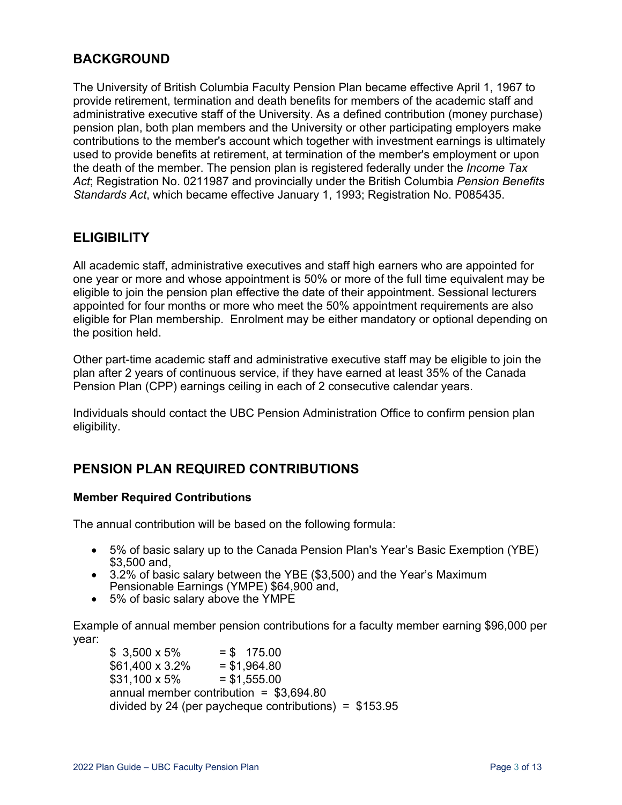#### **BACKGROUND**

The University of British Columbia Faculty Pension Plan became effective April 1, 1967 to provide retirement, termination and death benefits for members of the academic staff and administrative executive staff of the University. As a defined contribution (money purchase) pension plan, both plan members and the University or other participating employers make contributions to the member's account which together with investment earnings is ultimately used to provide benefits at retirement, at termination of the member's employment or upon the death of the member. The pension plan is registered federally under the *Income Tax Act*; Registration No. 0211987 and provincially under the British Columbia *Pension Benefits Standards Act*, which became effective January 1, 1993; Registration No. P085435.

#### **ELIGIBILITY**

All academic staff, administrative executives and staff high earners who are appointed for one year or more and whose appointment is 50% or more of the full time equivalent may be eligible to join the pension plan effective the date of their appointment. Sessional lecturers appointed for four months or more who meet the 50% appointment requirements are also eligible for Plan membership. Enrolment may be either mandatory or optional depending on the position held.

Other part-time academic staff and administrative executive staff may be eligible to join the plan after 2 years of continuous service, if they have earned at least 35% of the Canada Pension Plan (CPP) earnings ceiling in each of 2 consecutive calendar years.

Individuals should contact the UBC Pension Administration Office to confirm pension plan eligibility.

#### **PENSION PLAN REQUIRED CONTRIBUTIONS**

#### **Member Required Contributions**

The annual contribution will be based on the following formula:

- 5% of basic salary up to the Canada Pension Plan's Year's Basic Exemption (YBE) \$3,500 and,
- 3.2% of basic salary between the YBE (\$3,500) and the Year's Maximum Pensionable Earnings (YMPE) \$64,900 and,
- 5% of basic salary above the YMPE

Example of annual member pension contributions for a faculty member earning \$96,000 per year:

 $$3,500 \times 5\% = $175.00$  $$61,400 \times 3.2\% = $1,964.80$  $$31.100 \times 5\% = $1.555.00$ annual member contribution  $=$  \$3,694.80 divided by 24 (per paycheque contributions) =  $$153.95$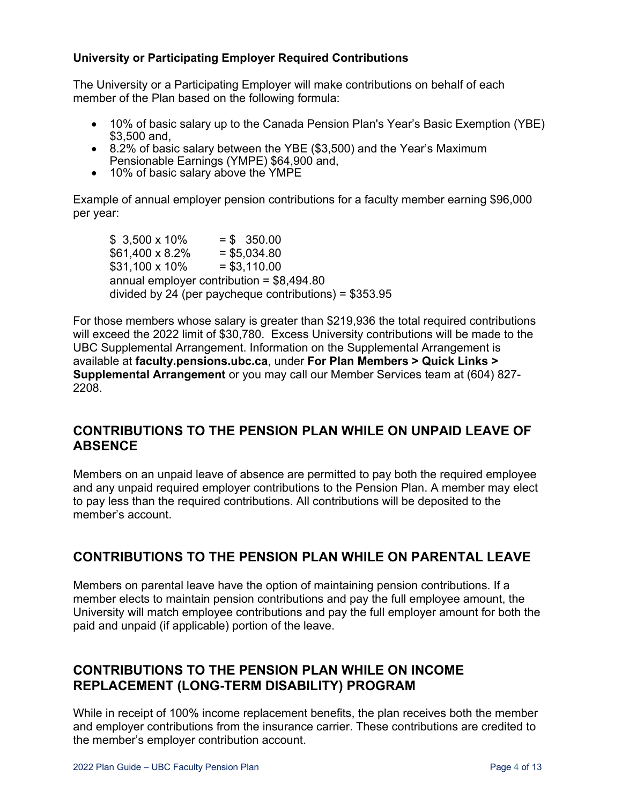#### **University or Participating Employer Required Contributions**

The University or a Participating Employer will make contributions on behalf of each member of the Plan based on the following formula:

- 10% of basic salary up to the Canada Pension Plan's Year's Basic Exemption (YBE) \$3,500 and,
- 8.2% of basic salary between the YBE (\$3,500) and the Year's Maximum Pensionable Earnings (YMPE) \$64,900 and,
- 10% of basic salary above the YMPE

Example of annual employer pension contributions for a faculty member earning \$96,000 per year:

 $$3,500 \times 10\% = $350.00$  $$61,400 \times 8.2\% = $5,034.80$  $$31,100 \times 10\% = $3,110.00$ annual employer contribution = \$8,494.80 divided by 24 (per paycheque contributions) = \$353.95

For those members whose salary is greater than \$219,936 the total required contributions will exceed the 2022 limit of \$30,780. Excess University contributions will be made to the UBC Supplemental Arrangement. Information on the Supplemental Arrangement is available at **faculty.pensions.ubc.ca**, under **For Plan Members > Quick Links > Supplemental Arrangement** or you may call our Member Services team at (604) 827- 2208.

#### **CONTRIBUTIONS TO THE PENSION PLAN WHILE ON UNPAID LEAVE OF ABSENCE**

Members on an unpaid leave of absence are permitted to pay both the required employee and any unpaid required employer contributions to the Pension Plan. A member may elect to pay less than the required contributions. All contributions will be deposited to the member's account.

#### **CONTRIBUTIONS TO THE PENSION PLAN WHILE ON PARENTAL LEAVE**

Members on parental leave have the option of maintaining pension contributions. If a member elects to maintain pension contributions and pay the full employee amount, the University will match employee contributions and pay the full employer amount for both the paid and unpaid (if applicable) portion of the leave.

#### **CONTRIBUTIONS TO THE PENSION PLAN WHILE ON INCOME REPLACEMENT (LONG-TERM DISABILITY) PROGRAM**

While in receipt of 100% income replacement benefits, the plan receives both the member and employer contributions from the insurance carrier. These contributions are credited to the member's employer contribution account.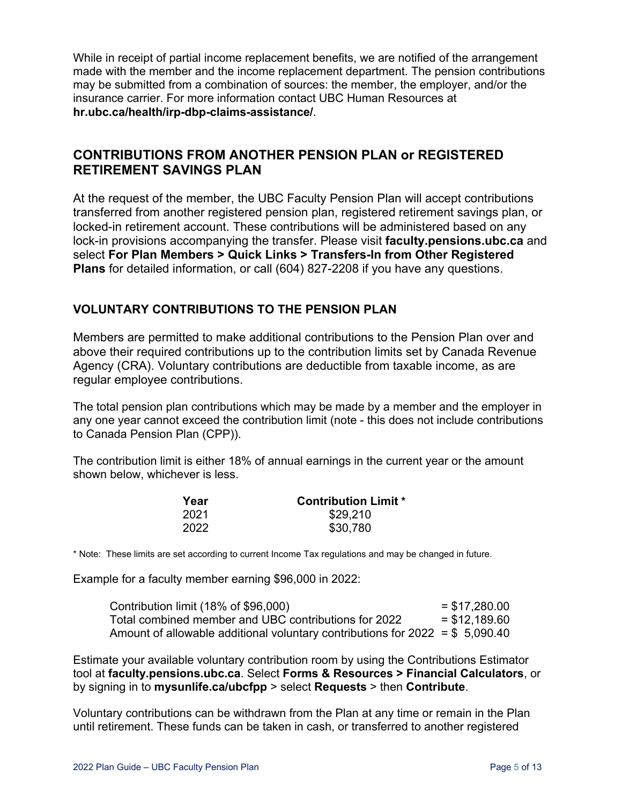While in receipt of partial income replacement benefits, we are notified of the arrangement made with the member and the income replacement department. The pension contributions may be submitted from a combination of sources: the member, the employer, and/or the insurance carrier. For more information contact UBC Human Resources at **[hr.ubc.ca/health/irp-dbp-claims-assistance/](http://www.hr.ubc.ca/health/irp-dbp-claims-assistance/)**.

#### **CONTRIBUTIONS FROM ANOTHER PENSION PLAN or REGISTERED RETIREMENT SAVINGS PLAN**

At the request of the member, the UBC Faculty Pension Plan will accept contributions transferred from another registered pension plan, registered retirement savings plan, or locked-in retirement account. These contributions will be administered based on any lock-in provisions accompanying the transfer. Please visit **faculty.pensions.ubc.ca** and select **For Plan Members > Quick Links > Transfers-In from Other Registered Plans** for detailed information, or call (604) 827-2208 if you have any questions.

#### **VOLUNTARY CONTRIBUTIONS TO THE PENSION PLAN**

Members are permitted to make additional contributions to the Pension Plan over and above their required contributions up to the contribution limits set by Canada Revenue Agency (CRA). Voluntary contributions are deductible from taxable income, as are regular employee contributions.

The total pension plan contributions which may be made by a member and the employer in any one year cannot exceed the contribution limit (note - this does not include contributions to Canada Pension Plan (CPP)).

The contribution limit is either 18% of annual earnings in the current year or the amount shown below, whichever is less.

| Year | <b>Contribution Limit *</b> |
|------|-----------------------------|
| 2021 | \$29,210                    |
| 2022 | \$30,780                    |

\* Note: These limits are set according to current Income Tax regulations and may be changed in future.

Example for a faculty member earning \$96,000 in 2022:

| Contribution limit (18% of \$96,000)                                          | $=$ \$17,280.00 |
|-------------------------------------------------------------------------------|-----------------|
| Total combined member and UBC contributions for 2022                          | $=$ \$12.189.60 |
| Amount of allowable additional voluntary contributions for $2022 = $5,090.40$ |                 |

Estimate your available voluntary contribution room by using the Contributions Estimator tool at **faculty.pensions.ubc.ca**. Select **Forms & Resources > Financial Calculators**, or by signing in to **mysunlife.ca/ubcfpp** > select **Requests** > then **Contribute**.

Voluntary contributions can be withdrawn from the Plan at any time or remain in the Plan until retirement. These funds can be taken in cash, or transferred to another registered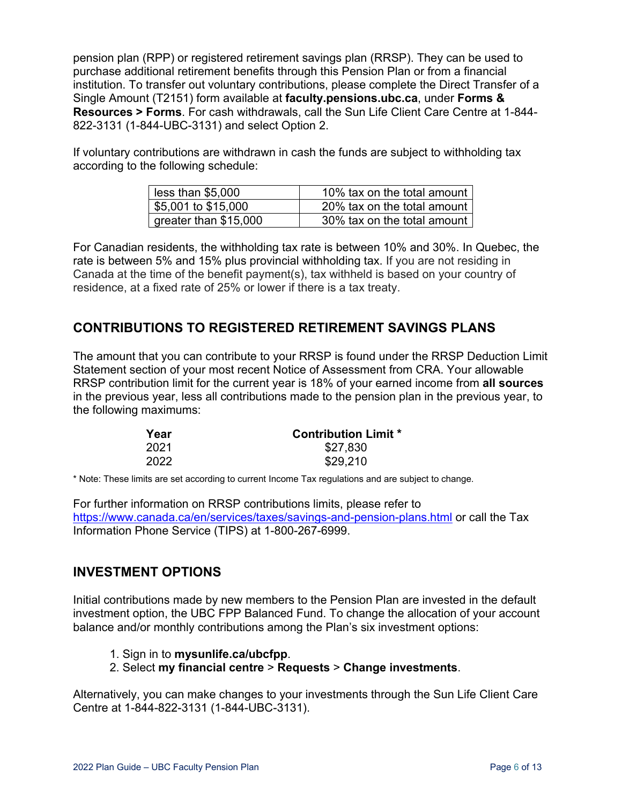pension plan (RPP) or registered retirement savings plan (RRSP). They can be used to purchase additional retirement benefits through this Pension Plan or from a financial institution. To transfer out voluntary contributions, please complete the Direct Transfer of a Single Amount (T2151) form available at **faculty.pensions.ubc.ca**, under **Forms & Resources > Forms**. For cash withdrawals, call the Sun Life Client Care Centre at 1-844- 822-3131 (1-844-UBC-3131) and select Option 2.

If voluntary contributions are withdrawn in cash the funds are subject to withholding tax according to the following schedule:

| less than \$5,000     | 10% tax on the total amount |
|-----------------------|-----------------------------|
| \$5,001 to \$15,000   | 20% tax on the total amount |
| greater than \$15,000 | 30% tax on the total amount |

For Canadian residents, the withholding tax rate is between 10% and 30%. In Quebec, the rate is between 5% and 15% plus provincial withholding tax. If you are not residing in Canada at the time of the benefit payment(s), tax withheld is based on your country of residence, at a fixed rate of 25% or lower if there is a tax treaty.

#### **CONTRIBUTIONS TO REGISTERED RETIREMENT SAVINGS PLANS**

The amount that you can contribute to your RRSP is found under the RRSP Deduction Limit Statement section of your most recent Notice of Assessment from CRA. Your allowable RRSP contribution limit for the current year is 18% of your earned income from **all sources** in the previous year, less all contributions made to the pension plan in the previous year, to the following maximums:

| Year | <b>Contribution Limit *</b> |
|------|-----------------------------|
| 2021 | \$27,830                    |
| 2022 | \$29,210                    |

\* Note: These limits are set according to current Income Tax regulations and are subject to change.

For further information on RRSP contributions limits, please refer to <https://www.canada.ca/en/services/taxes/savings-and-pension-plans.html> or call the Tax Information Phone Service (TIPS) at 1-800-267-6999.

#### **INVESTMENT OPTIONS**

Initial contributions made by new members to the Pension Plan are invested in the default investment option, the UBC FPP Balanced Fund. To change the allocation of your account balance and/or monthly contributions among the Plan's six investment options:

- 1. Sign in to **mysunlife.ca/ubcfpp**.
- 2. Select **my financial centre** > **Requests** > **Change investments**.

Alternatively, you can make changes to your investments through the Sun Life Client Care Centre at 1-844-822-3131 (1-844-UBC-3131).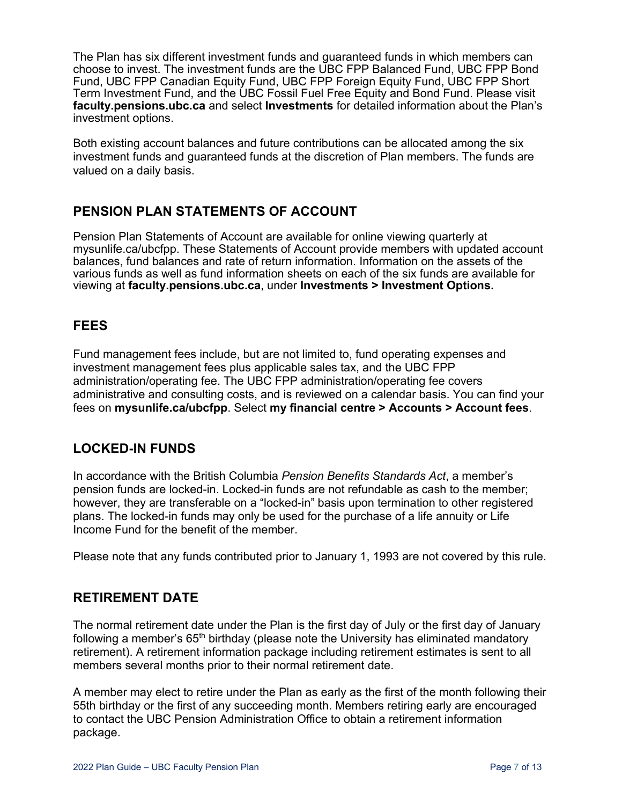The Plan has six different investment funds and guaranteed funds in which members can choose to invest. The investment funds are the UBC FPP Balanced Fund, UBC FPP Bond Fund, UBC FPP Canadian Equity Fund, UBC FPP Foreign Equity Fund, UBC FPP Short Term Investment Fund, and the UBC Fossil Fuel Free Equity and Bond Fund. Please visit **[faculty.pensions.ubc.ca](http://www.pensions.ubc.ca/faculty/investment.html)** and select **Investments** for detailed information about the Plan's investment options.

Both existing account balances and future contributions can be allocated among the six investment funds and guaranteed funds at the discretion of Plan members. The funds are valued on a daily basis.

# **PENSION PLAN STATEMENTS OF ACCOUNT**

Pension Plan Statements of Account are available for online viewing quarterly at mysunlife.ca/ubcfpp. These Statements of Account provide members with updated account balances, fund balances and rate of return information. Information on the assets of the various funds as well as fund information sheets on each of the six funds are available for viewing at **faculty.pensions.ubc.ca**, under **Investments > Investment Options.**

# **FEES**

Fund management fees include, but are not limited to, fund operating expenses and investment management fees plus applicable sales tax, and the UBC FPP administration/operating fee. The UBC FPP administration/operating fee covers administrative and consulting costs, and is reviewed on a calendar basis. You can find your fees on **[mysunlife.ca/ubcfpp](file://nas01.pao.hr.ubc.ca/Group$/FACULTY/FPP%20Forms%20and%20Communication/Word%20Version/Forms%20and%20Factsheets/2015/mysunlife.ca/ubcfpp)**. Select **my financial centre > Accounts > Account fees**.

# **LOCKED-IN FUNDS**

In accordance with the British Columbia *Pension Benefits Standards Act*, a member's pension funds are locked-in. Locked-in funds are not refundable as cash to the member; however, they are transferable on a "locked-in" basis upon termination to other registered plans. The locked-in funds may only be used for the purchase of a life annuity or Life Income Fund for the benefit of the member.

Please note that any funds contributed prior to January 1, 1993 are not covered by this rule.

#### **RETIREMENT DATE**

The normal retirement date under the Plan is the first day of July or the first day of January following a member's  $65<sup>th</sup>$  birthday (please note the University has eliminated mandatory retirement). A retirement information package including retirement estimates is sent to all members several months prior to their normal retirement date.

A member may elect to retire under the Plan as early as the first of the month following their 55th birthday or the first of any succeeding month. Members retiring early are encouraged to contact the UBC Pension Administration Office to obtain a retirement information package.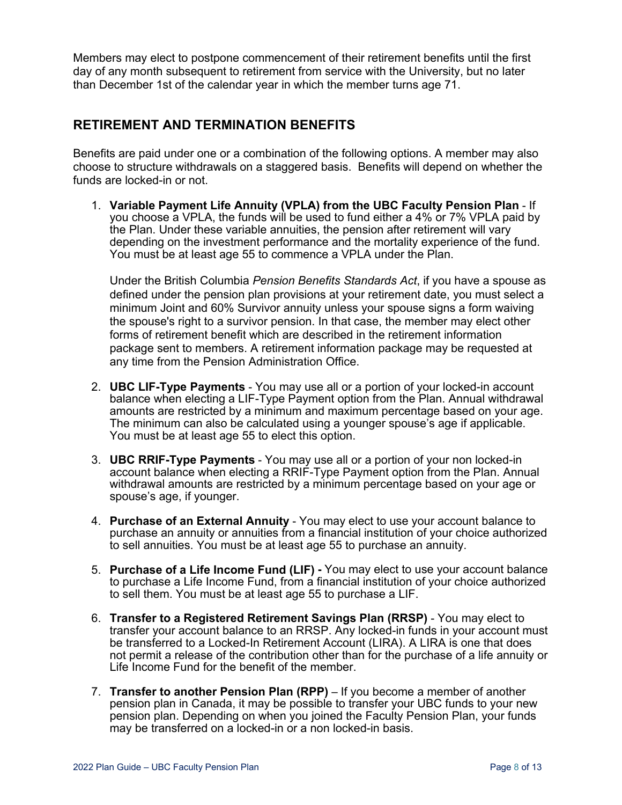Members may elect to postpone commencement of their retirement benefits until the first day of any month subsequent to retirement from service with the University, but no later than December 1st of the calendar year in which the member turns age 71.

#### **RETIREMENT AND TERMINATION BENEFITS**

Benefits are paid under one or a combination of the following options. A member may also choose to structure withdrawals on a staggered basis. Benefits will depend on whether the funds are locked-in or not.

1. **Variable Payment Life Annuity (VPLA) from the UBC Faculty Pension Plan** - If you choose a VPLA, the funds will be used to fund either a 4% or 7% VPLA paid by the Plan. Under these variable annuities, the pension after retirement will vary depending on the investment performance and the mortality experience of the fund. You must be at least age 55 to commence a VPLA under the Plan.

Under the British Columbia *Pension Benefits Standards Act*, if you have a spouse as defined under the pension plan provisions at your retirement date, you must select a minimum Joint and 60% Survivor annuity unless your spouse signs a form waiving the spouse's right to a survivor pension. In that case, the member may elect other forms of retirement benefit which are described in the retirement information package sent to members. A retirement information package may be requested at any time from the Pension Administration Office.

- 2. **UBC LIF-Type Payments** You may use all or a portion of your locked-in account balance when electing a LIF-Type Payment option from the Plan. Annual withdrawal amounts are restricted by a minimum and maximum percentage based on your age. The minimum can also be calculated using a younger spouse's age if applicable. You must be at least age 55 to elect this option.
- 3. **UBC RRIF-Type Payments** You may use all or a portion of your non locked-in account balance when electing a RRIF-Type Payment option from the Plan. Annual withdrawal amounts are restricted by a minimum percentage based on your age or spouse's age, if younger.
- 4. **Purchase of an External Annuity** You may elect to use your account balance to purchase an annuity or annuities from a financial institution of your choice authorized to sell annuities. You must be at least age 55 to purchase an annuity.
- 5. **Purchase of a Life Income Fund (LIF) -** You may elect to use your account balance to purchase a Life Income Fund, from a financial institution of your choice authorized to sell them. You must be at least age 55 to purchase a LIF.
- 6. **Transfer to a Registered Retirement Savings Plan (RRSP)** You may elect to transfer your account balance to an RRSP. Any locked-in funds in your account must be transferred to a Locked-In Retirement Account (LIRA). A LIRA is one that does not permit a release of the contribution other than for the purchase of a life annuity or Life Income Fund for the benefit of the member.
- 7. **Transfer to another Pension Plan (RPP)** If you become a member of another pension plan in Canada, it may be possible to transfer your UBC funds to your new pension plan. Depending on when you joined the Faculty Pension Plan, your funds may be transferred on a locked-in or a non locked-in basis.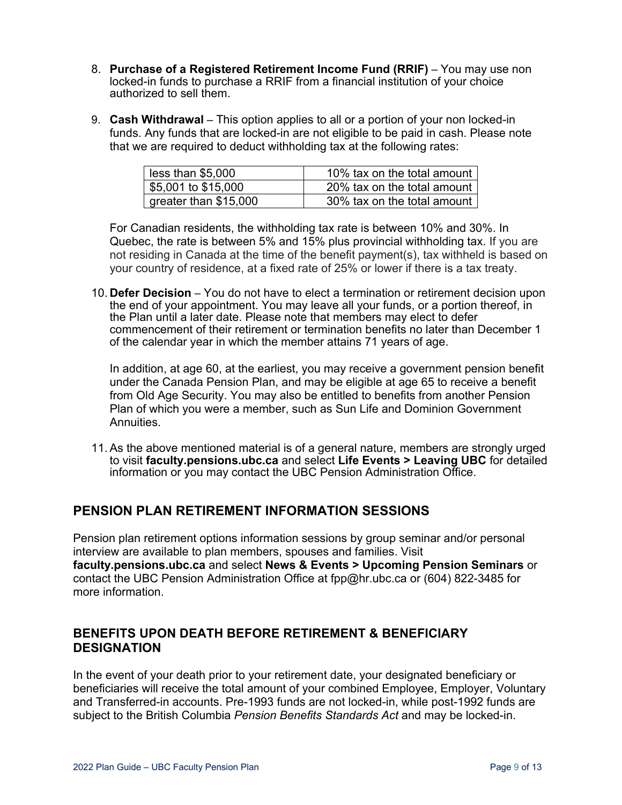- 8. **Purchase of a Registered Retirement Income Fund (RRIF)** You may use non locked-in funds to purchase a RRIF from a financial institution of your choice authorized to sell them.
- 9. **Cash Withdrawal** This option applies to all or a portion of your non locked-in funds. Any funds that are locked-in are not eligible to be paid in cash. Please note that we are required to deduct withholding tax at the following rates:

| less than \$5,000     | 10% tax on the total amount |
|-----------------------|-----------------------------|
| \$5,001 to \$15,000   | 20% tax on the total amount |
| greater than \$15,000 | 30% tax on the total amount |

For Canadian residents, the withholding tax rate is between 10% and 30%. In Quebec, the rate is between 5% and 15% plus provincial withholding tax. If you are not residing in Canada at the time of the benefit payment(s), tax withheld is based on your country of residence, at a fixed rate of 25% or lower if there is a tax treaty.

10. **Defer Decision** – You do not have to elect a termination or retirement decision upon the end of your appointment. You may leave all your funds, or a portion thereof, in the Plan until a later date. Please note that members may elect to defer commencement of their retirement or termination benefits no later than December 1 of the calendar year in which the member attains 71 years of age.

In addition, at age 60, at the earliest, you may receive a government pension benefit under the Canada Pension Plan, and may be eligible at age 65 to receive a benefit from Old Age Security. You may also be entitled to benefits from another Pension Plan of which you were a member, such as Sun Life and Dominion Government **Annuities** 

11. As the above mentioned material is of a general nature, members are strongly urged to visit **[faculty.pensions.ubc.ca](http://www.pensions.ubc.ca/faculty)** and select **Life Events > Leaving UBC** for detailed information or you may contact the UBC Pension Administration Office.

# **PENSION PLAN RETIREMENT INFORMATION SESSIONS**

Pension plan retirement options information sessions by group seminar and/or personal interview are available to plan members, spouses and families. Visit **[faculty.pensions.ubc.ca](mailto:pensions.ubc.ca/faculty)** and select **News & Events > Upcoming Pension Seminars** or contact the UBC Pension Administration Office at [fpp@hr.ubc.ca](mailto:fpp@hr.ubc.ca) or (604) 822-3485 for more information.

#### **BENEFITS UPON DEATH BEFORE RETIREMENT & BENEFICIARY DESIGNATION**

In the event of your death prior to your retirement date, your designated beneficiary or beneficiaries will receive the total amount of your combined Employee, Employer, Voluntary and Transferred-in accounts. Pre-1993 funds are not locked-in, while post-1992 funds are subject to the British Columbia *Pension Benefits Standards Act* and may be locked-in.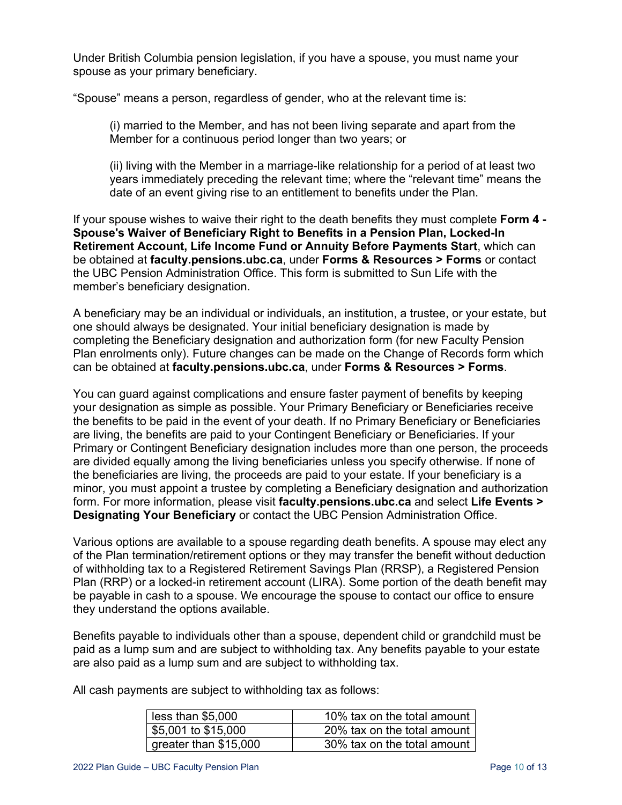Under British Columbia pension legislation, if you have a spouse, you must name your spouse as your primary beneficiary.

"Spouse" means a person, regardless of gender, who at the relevant time is:

(i) married to the Member, and has not been living separate and apart from the Member for a continuous period longer than two years; or

(ii) living with the Member in a marriage-like relationship for a period of at least two years immediately preceding the relevant time; where the "relevant time" means the date of an event giving rise to an entitlement to benefits under the Plan.

If your spouse wishes to waive their right to the death benefits they must complete **Form 4 - Spouse's Waiver of Beneficiary Right to Benefits in a Pension Plan, Locked-In Retirement Account, Life Income Fund or Annuity Before Payments Start**, which can be obtained at **faculty.pensions.ubc.ca**, under **Forms & Resources > Forms** or contact the UBC Pension Administration Office. This form is submitted to Sun Life with the member's beneficiary designation.

A beneficiary may be an individual or individuals, an institution, a trustee, or your estate, but one should always be designated. Your initial beneficiary designation is made by completing the Beneficiary designation and authorization form (for new Faculty Pension Plan enrolments only). Future changes can be made on the Change of Records form which can be obtained at **[faculty.pensions.ubc.ca](http://www.pensions/ubc.ca/faculty)**, under **Forms & Resources > Forms**.

You can guard against complications and ensure faster payment of benefits by keeping your designation as simple as possible. Your Primary Beneficiary or Beneficiaries receive the benefits to be paid in the event of your death. If no Primary Beneficiary or Beneficiaries are living, the benefits are paid to your Contingent Beneficiary or Beneficiaries. If your Primary or Contingent Beneficiary designation includes more than one person, the proceeds are divided equally among the living beneficiaries unless you specify otherwise. If none of the beneficiaries are living, the proceeds are paid to your estate. If your beneficiary is a minor, you must appoint a trustee by completing a Beneficiary designation and authorization form. For more information, please visit **faculty.pensions.ubc.ca** and select **Life Events > Designating Your Beneficiary** or contact the UBC Pension Administration Office.

Various options are available to a spouse regarding death benefits. A spouse may elect any of the Plan termination/retirement options or they may transfer the benefit without deduction of withholding tax to a Registered Retirement Savings Plan (RRSP), a Registered Pension Plan (RRP) or a locked-in retirement account (LIRA). Some portion of the death benefit may be payable in cash to a spouse. We encourage the spouse to contact our office to ensure they understand the options available.

Benefits payable to individuals other than a spouse, dependent child or grandchild must be paid as a lump sum and are subject to withholding tax. Any benefits payable to your estate are also paid as a lump sum and are subject to withholding tax.

All cash payments are subject to withholding tax as follows:

| less than \$5,000     | 10% tax on the total amount |
|-----------------------|-----------------------------|
| \$5,001 to \$15,000   | 20% tax on the total amount |
| greater than \$15,000 | 30% tax on the total amount |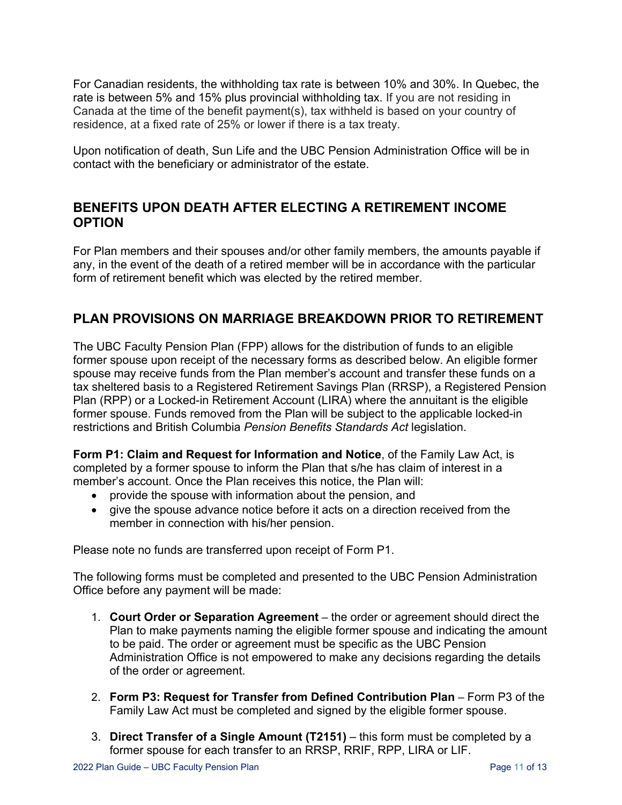For Canadian residents, the withholding tax rate is between 10% and 30%. In Quebec, the rate is between 5% and 15% plus provincial withholding tax. If you are not residing in Canada at the time of the benefit payment(s), tax withheld is based on your country of residence, at a fixed rate of 25% or lower if there is a tax treaty.

Upon notification of death, Sun Life and the UBC Pension Administration Office will be in contact with the beneficiary or administrator of the estate.

#### **BENEFITS UPON DEATH AFTER ELECTING A RETIREMENT INCOME OPTION**

For Plan members and their spouses and/or other family members, the amounts payable if any, in the event of the death of a retired member will be in accordance with the particular form of retirement benefit which was elected by the retired member.

#### **PLAN PROVISIONS ON MARRIAGE BREAKDOWN PRIOR TO RETIREMENT**

The UBC Faculty Pension Plan (FPP) allows for the distribution of funds to an eligible former spouse upon receipt of the necessary forms as described below. An eligible former spouse may receive funds from the Plan member's account and transfer these funds on a tax sheltered basis to a Registered Retirement Savings Plan (RRSP), a Registered Pension Plan (RPP) or a Locked-in Retirement Account (LIRA) where the annuitant is the eligible former spouse. Funds removed from the Plan will be subject to the applicable locked-in restrictions and British Columbia *Pension Benefits Standards Act* legislation.

**Form P1: Claim and Request for Information and Notice**, of the Family Law Act, is completed by a former spouse to inform the Plan that s/he has claim of interest in a member's account. Once the Plan receives this notice, the Plan will:

- provide the spouse with information about the pension, and
- give the spouse advance notice before it acts on a direction received from the member in connection with his/her pension.

Please note no funds are transferred upon receipt of Form P1.

The following forms must be completed and presented to the UBC Pension Administration Office before any payment will be made:

- 1. **Court Order or Separation Agreement** the order or agreement should direct the Plan to make payments naming the eligible former spouse and indicating the amount to be paid. The order or agreement must be specific as the UBC Pension Administration Office is not empowered to make any decisions regarding the details of the order or agreement.
- 2. **Form P3: Request for Transfer from Defined Contribution Plan**  Form P3 of the Family Law Act must be completed and signed by the eligible former spouse.
- 3. **Direct Transfer of a Single Amount (T2151)** this form must be completed by a former spouse for each transfer to an RRSP, RRIF, RPP, LIRA or LIF.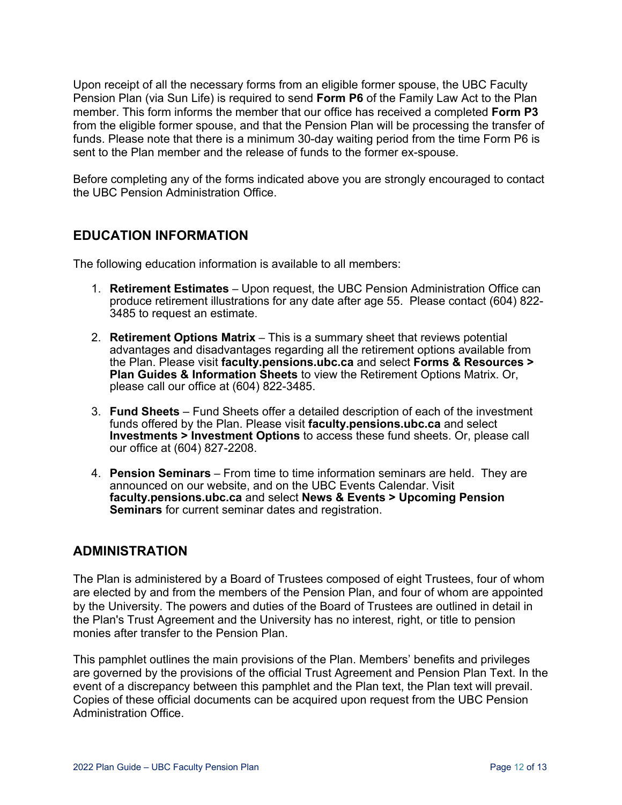Upon receipt of all the necessary forms from an eligible former spouse, the UBC Faculty Pension Plan (via Sun Life) is required to send **Form P6** of the Family Law Act to the Plan member. This form informs the member that our office has received a completed **Form P3** from the eligible former spouse, and that the Pension Plan will be processing the transfer of funds. Please note that there is a minimum 30-day waiting period from the time Form P6 is sent to the Plan member and the release of funds to the former ex-spouse.

Before completing any of the forms indicated above you are strongly encouraged to contact the UBC Pension Administration Office.

#### **EDUCATION INFORMATION**

The following education information is available to all members:

- 1. **Retirement Estimates** Upon request, the UBC Pension Administration Office can produce retirement illustrations for any date after age 55. Please contact (604) 822- 3485 to request an estimate.
- 2. **Retirement Options Matrix** This is a summary sheet that reviews potential advantages and disadvantages regarding all the retirement options available from the Plan. Please visit **faculty.pensions.ubc.ca** and select **Forms & Resources > Plan Guides & Information Sheets** to view the Retirement Options Matrix. Or, please call our office at (604) 822-3485.
- 3. **Fund Sheets** Fund Sheets offer a detailed description of each of the investment funds offered by the Plan. Please visit **[faculty.pensions.ubc.ca](http://www.pensions/ubc.ca/faculty)** and select **Investments > Investment Options** to access these fund sheets. Or, please call our office at (604) 827-2208.
- 4. **Pension Seminars** From time to time information seminars are held. They are announced on our website, and on the UBC Events Calendar. Visit **faculty.pensions.ubc.ca** and select **News & Events > Upcoming Pension Seminars** for current seminar dates and registration.

#### **ADMINISTRATION**

The Plan is administered by a Board of Trustees composed of eight Trustees, four of whom are elected by and from the members of the Pension Plan, and four of whom are appointed by the University. The powers and duties of the Board of Trustees are outlined in detail in the Plan's Trust Agreement and the University has no interest, right, or title to pension monies after transfer to the Pension Plan.

This pamphlet outlines the main provisions of the Plan. Members' benefits and privileges are governed by the provisions of the official Trust Agreement and Pension Plan Text. In the event of a discrepancy between this pamphlet and the Plan text, the Plan text will prevail. Copies of these official documents can be acquired upon request from the UBC Pension Administration Office.